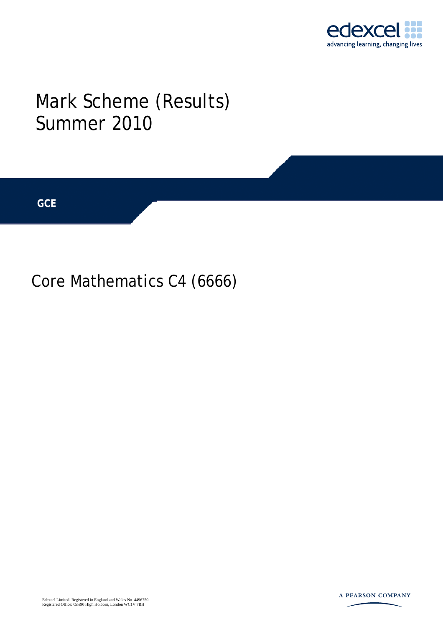

## Mark Scheme (Results) Summer 2010

**GCE** 

## Core Mathematics C4 (6666)

Edexcel Limited. Registered in England and Wales No. 4496750 Registered Office: One90 High Holborn, London WC1V 7BH

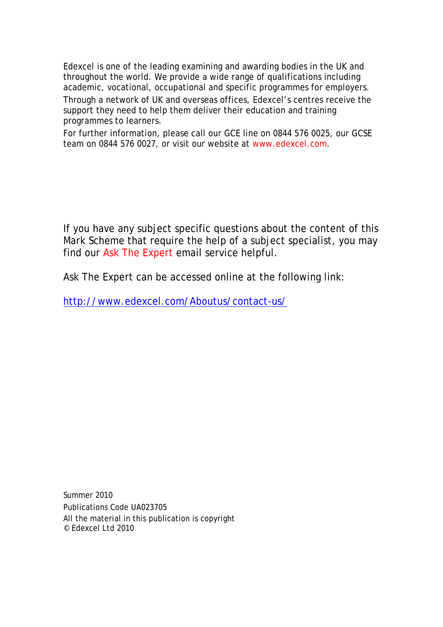Edexcel is one of the leading examining and awarding bodies in the UK and throughout the world. We provide a wide range of qualifications including academic, vocational, occupational and specific programmes for employers.

Through a network of UK and overseas offices, Edexcel's centres receive the support they need to help them deliver their education and training programmes to learners.

For further information, please call our GCE line on 0844 576 0025, our GCSE team on 0844 576 0027, or visit our website at www.edexcel.com.

If you have any subject specific questions about the content of this Mark Scheme that require the help of a subject specialist, you may find our Ask The Expert email service helpful.

Ask The Expert can be accessed online at the following link:

http://www.edexcel.com/Aboutus/contact-us/

Summer 2010 Publications Code UA023705 All the material in this publication is copyright © Edexcel Ltd 2010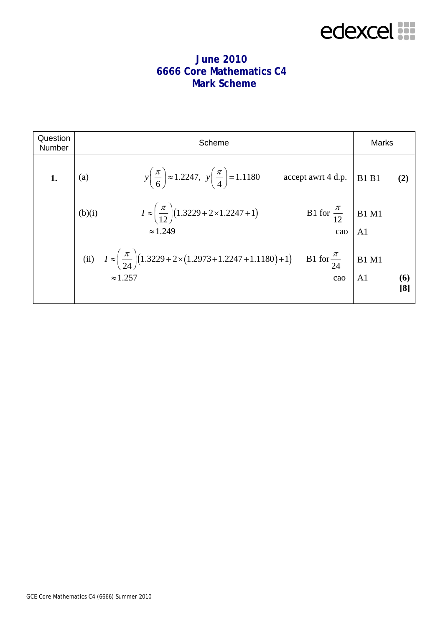## edexcel :::

## **June 2010 6666 Core Mathematics C4 Mark Scheme**

| Question<br>Number | Scheme                                                                                                                                               | <b>Marks</b>                                        |
|--------------------|------------------------------------------------------------------------------------------------------------------------------------------------------|-----------------------------------------------------|
| 1.                 | $y\left(\frac{\pi}{6}\right) \approx 1.2247, \ y\left(\frac{\pi}{4}\right) = 1.1180$<br>$accept$ awrt 4 d.p.<br>(a)                                  | <b>B1</b> B1<br>(2)                                 |
|                    | $I \approx \left(\frac{\pi}{12}\right) (1.3229 + 2 \times 1.2247 + 1)$<br>B1 for $\frac{\pi}{12}$ B1 M1<br>(b)(i)<br>$\approx 1.249$<br>cao          | A <sub>1</sub>                                      |
|                    | (ii) $I \approx \left(\frac{\pi}{24}\right) (1.3229 + 2 \times (1.2973 + 1.2247 + 1.1180) + 1)$<br>B1 for $\frac{\pi}{24}$<br>$\approx 1.257$<br>cao | <b>B1 M1</b><br>A <sub>1</sub><br><b>(6)</b><br>[8] |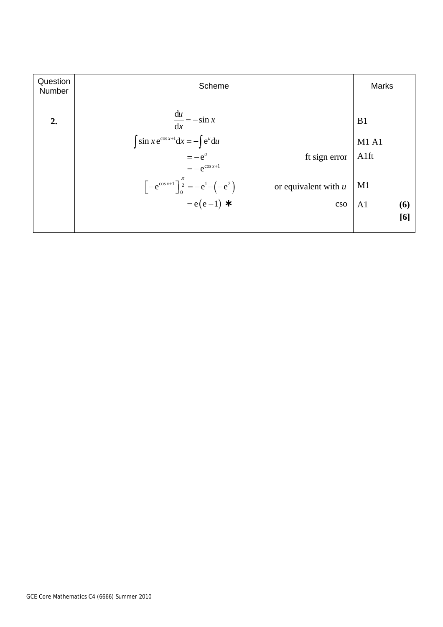| Question<br>Number | Scheme                                                                                        | <b>Marks</b>          |
|--------------------|-----------------------------------------------------------------------------------------------|-----------------------|
| 2.                 | $\frac{du}{dx} = -\sin x$                                                                     | B <sub>1</sub>        |
|                    | $\int \sin x e^{\cos x + 1} dx = - \int e^u du$                                               | M1A1                  |
|                    | ft sign error   A1ft<br>$=-e^u$                                                               |                       |
|                    | $=-e^{\cos x+1}$                                                                              |                       |
|                    | or equivalent with $u$                                                                        | M1                    |
|                    | $\left[-e^{\cos x+1}\right]_0^{\frac{\pi}{2}} = -e^1 - (-e^2)$<br>= e(e-1) <b>*</b><br>$\cos$ | A <sub>1</sub><br>(6) |
|                    |                                                                                               | [6]                   |
|                    |                                                                                               |                       |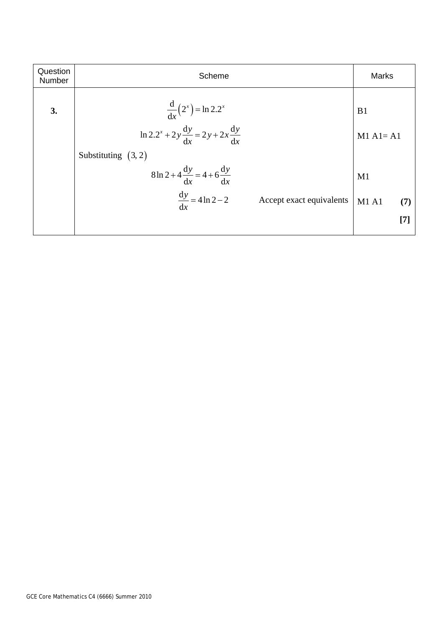| Question<br>Number | Scheme                                                         | <b>Marks</b>                         |
|--------------------|----------------------------------------------------------------|--------------------------------------|
| 3.                 | $\frac{d}{dx}(2^{x}) = \ln 2.2^{x}$                            | B1                                   |
|                    | $\ln 2 \cdot 2^{x} + 2y \frac{dy}{dx} = 2y + 2x \frac{dy}{dx}$ | $M1$ A <sub>1</sub> = A <sub>1</sub> |
|                    | Substituting $(3, 2)$                                          |                                      |
|                    | $8\ln 2 + 4\frac{dy}{dx} = 4 + 6\frac{dy}{dx}$                 | M1                                   |
|                    | $\frac{dy}{dx} = 4 \ln 2 - 2$<br>Accept exact equivalents      | M1A1<br>(7)                          |
|                    |                                                                | $[7]$                                |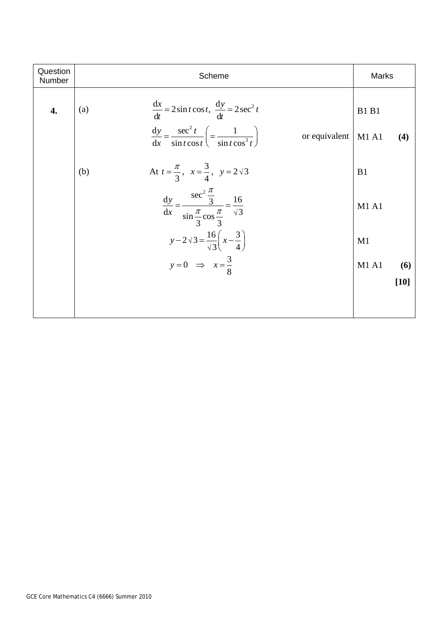| Question<br>Number | Scheme                                                                                                                                                                               | Marks                       |
|--------------------|--------------------------------------------------------------------------------------------------------------------------------------------------------------------------------------|-----------------------------|
| 4.                 | $\frac{dx}{dt} = 2 \sin t \cos t, \frac{dy}{dt} = 2 \sec^2 t$<br>(a)<br>$\frac{dy}{dx} = \frac{\sec^2 t}{\sin t \cos t} \left( = \frac{1}{\sin t \cos^3 t} \right)$<br>or equivalent | <b>B1 B1</b><br>M1A1<br>(4) |
|                    | At $t = \frac{\pi}{3}$ , $x = \frac{3}{4}$ , $y = 2\sqrt{3}$<br>(b)                                                                                                                  | B1                          |
|                    | $\frac{dy}{dx} = \frac{\sec^2 \frac{\pi}{3}}{\sin \frac{\pi}{3} \cos \frac{\pi}{3}} = \frac{16}{\sqrt{3}}$                                                                           | M1 A1                       |
|                    | $y-2\sqrt{3} = \frac{16}{\sqrt{3}}\left(x-\frac{3}{4}\right)$                                                                                                                        | M1                          |
|                    | $y=0$ $\Rightarrow$ $x=\frac{3}{8}$                                                                                                                                                  | M1A1<br>(6)<br>$[10]$       |
|                    |                                                                                                                                                                                      |                             |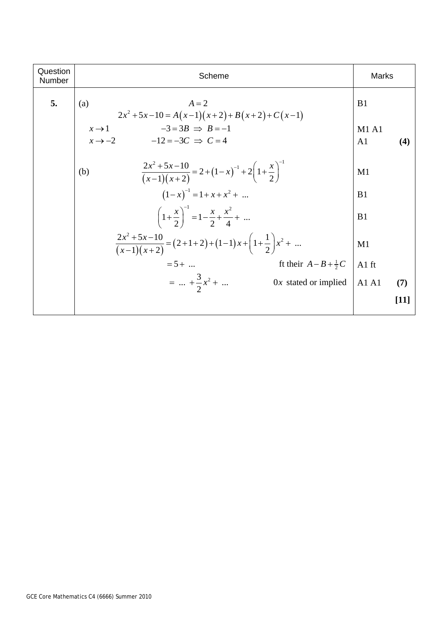| Question<br>Number | Scheme                                                                                                | Marks                          |        |
|--------------------|-------------------------------------------------------------------------------------------------------|--------------------------------|--------|
| 5.                 | $A=2$<br>(a)<br>$2x^2+5x-10=A(x-1)(x+2)+B(x+2)+C(x-1)$                                                | B <sub>1</sub>                 |        |
|                    | $-3 = 3B \Rightarrow B = -1$<br>$x \rightarrow 1$<br>$x \rightarrow -2$ $-12 = -3C \Rightarrow C = 4$ | <b>M1 A1</b><br>A <sub>1</sub> | (4)    |
|                    | $\frac{2x^2+5x-10}{(x-1)(x+2)} = 2 + (1-x)^{-1} + 2\left(1+\frac{x}{2}\right)^{-1}$<br>(b)            | M1                             |        |
|                    | $(1-x)^{-1} = 1 + x + x^2 + $                                                                         | B1                             |        |
|                    | $\left(1+\frac{x}{2}\right)^{-1} = 1-\frac{x}{2}+\frac{x^2}{4}+$                                      | B1                             |        |
|                    | $\frac{2x^2+5x-10}{(x-1)(x+2)} = (2+1+2)+(1-1)x+\left(1+\frac{1}{2}\right)x^2+$                       | M1                             |        |
|                    | ft their $A-B+\frac{1}{2}C$<br>$= 5 + $                                                               | $A1$ ft                        |        |
|                    | $=  + \frac{3}{2}x^2 + $<br>$0x$ stated or implied                                                    | A1A1                           | (7)    |
|                    |                                                                                                       |                                | $[11]$ |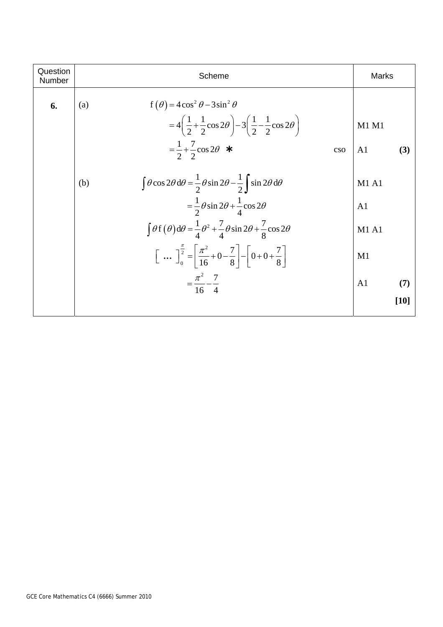| Question<br>Number | Scheme                                                                                                                                                                       | Marks          |        |
|--------------------|------------------------------------------------------------------------------------------------------------------------------------------------------------------------------|----------------|--------|
| 6.                 | $f(\theta) = 4\cos^2\theta - 3\sin^2\theta$<br>(a)<br>$=4\left(\frac{1}{2}+\frac{1}{2}\cos 2\theta\right)-3\left(\frac{1}{2}-\frac{1}{2}\cos 2\theta\right)$                 | M1 M1          |        |
|                    | $=\frac{1}{2}+\frac{7}{2}\cos 2\theta$ *<br>$\cos$                                                                                                                           | A <sub>1</sub> | (3)    |
|                    | $\int \theta \cos 2\theta \, d\theta = \frac{1}{2} \theta \sin 2\theta - \frac{1}{2} \int \sin 2\theta \, d\theta$<br>(b)                                                    | <b>M1 A1</b>   |        |
|                    | $=\frac{1}{2}\theta \sin 2\theta + \frac{1}{4}\cos 2\theta$                                                                                                                  | A <sub>1</sub> |        |
|                    | $\int \theta f(\theta) d\theta = \frac{1}{4} \theta^2 + \frac{7}{4} \theta \sin 2\theta + \frac{7}{8} \cos 2\theta$                                                          | <b>M1 A1</b>   |        |
|                    | $\left[\begin{array}{cc} \dots & \frac{\pi}{2} \\ \frac{\pi}{2} & \frac{\pi^2}{2} \\ \frac{\pi}{2} & \frac{\pi^2}{2} \end{array} + 0 - \frac{7}{8} - 0 + \frac{7}{8}\right]$ | M1             |        |
|                    | $=\frac{\pi^2}{16}-\frac{7}{4}$                                                                                                                                              | A <sub>1</sub> | (7)    |
|                    |                                                                                                                                                                              |                | $[10]$ |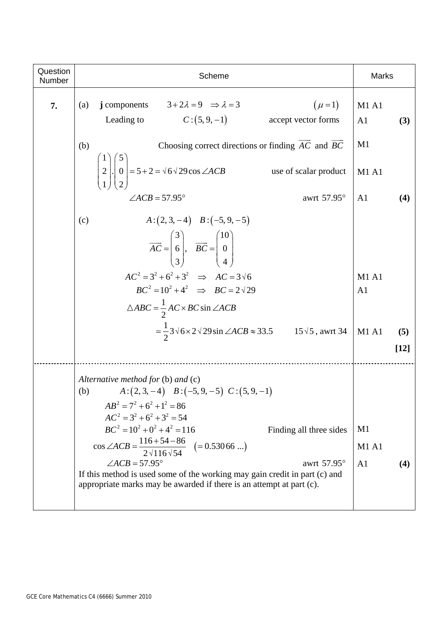| Question<br>Number | Scheme                                                                                                                                                                                                                                                                                                                                                                                                                                                                                                                                           | <b>Marks</b>                                |
|--------------------|--------------------------------------------------------------------------------------------------------------------------------------------------------------------------------------------------------------------------------------------------------------------------------------------------------------------------------------------------------------------------------------------------------------------------------------------------------------------------------------------------------------------------------------------------|---------------------------------------------|
| 7.                 | $(\mu = 1)$<br>j components $3+2\lambda = 9 \Rightarrow \lambda = 3$<br>(a)<br>$C:(5,9,-1)$<br>Leading to<br>accept vector forms                                                                                                                                                                                                                                                                                                                                                                                                                 | <b>M1 A1</b><br>A <sub>1</sub><br>(3)       |
|                    | Choosing correct directions or finding $\overrightarrow{AC}$ and $\overrightarrow{BC}$<br>(b)                                                                                                                                                                                                                                                                                                                                                                                                                                                    | M1                                          |
|                    | $\begin{bmatrix} 1 \\ 2 \\ 1 \end{bmatrix}$ $\begin{bmatrix} 3 \\ 0 \\ 2 \end{bmatrix}$ $= 5 + 2 = \sqrt{6} \sqrt{29} \cos \angle ACB$<br>use of scalar product                                                                                                                                                                                                                                                                                                                                                                                  | <b>M1 A1</b>                                |
|                    | $\angle ACB = 57.95^{\circ}$<br>awrt 57.95°                                                                                                                                                                                                                                                                                                                                                                                                                                                                                                      | A <sub>1</sub><br>(4)                       |
|                    | $A:(2,3,-4) \quad B:(-5,9,-5)$<br>(c)<br>$\overrightarrow{AC} = \begin{pmatrix} 3 \\ 6 \\ 3 \end{pmatrix}, \quad \overrightarrow{BC} = \begin{pmatrix} 10 \\ 0 \\ 4 \end{pmatrix}$<br>$AC^2 = 3^2 + 6^2 + 3^2 \implies AC = 3\sqrt{6}$<br>$BC^2 = 10^2 + 4^2 \implies BC = 2\sqrt{29}$<br>$\triangle ABC = \frac{1}{2}AC \times BC \sin \angle ACB$                                                                                                                                                                                              | <b>M1 A1</b><br>A <sub>1</sub>              |
|                    | $=\frac{1}{2}3\sqrt{6}\times2\sqrt{29}\sin\angle ACB\approx 33.5$ 15 $\sqrt{5}$ , awrt 34                                                                                                                                                                                                                                                                                                                                                                                                                                                        | M1A1<br>(5)<br>$[12]$                       |
|                    | Alternative method for $(b)$ and $(c)$<br>$A:(2,3,-4) \quad B:(-5,9,-5) \quad C:(5,9,-1)$<br>(b)<br>$AB^2 = 7^2 + 6^2 + 1^2 = 86$<br>$AC^{2} = 3^{2} + 6^{2} + 3^{2} = 54$<br>$BC^{2} = 10^{2} + 0^{2} + 4^{2} = 116$<br>Finding all three sides<br>$\cos \angle ACB = \frac{116 + 54 - 86}{2\sqrt{116}\sqrt{54}} \quad (= 0.53066 \ldots)$<br>$\angle ACB = 57.95^{\circ}$<br>awrt 57.95°<br>If this method is used some of the working may gain credit in part (c) and<br>appropriate marks may be awarded if there is an attempt at part (c). | M1<br><b>M1 A1</b><br>A <sub>1</sub><br>(4) |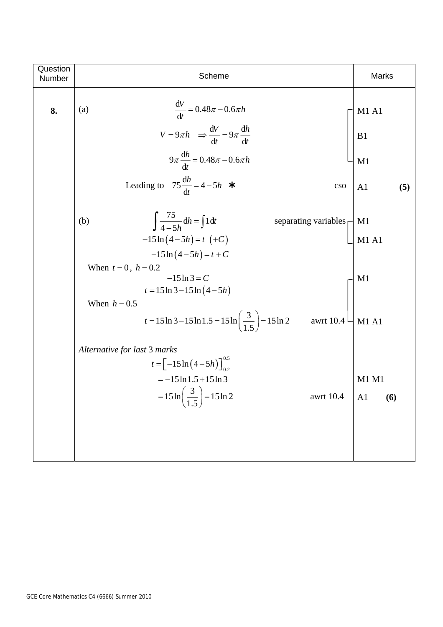| Question<br>Number | Scheme                                                                                                                                                                                                                                                                                                                        | Marks                                             |
|--------------------|-------------------------------------------------------------------------------------------------------------------------------------------------------------------------------------------------------------------------------------------------------------------------------------------------------------------------------|---------------------------------------------------|
| 8.                 | $\frac{\mathrm{d}V}{\mathrm{d}t} = 0.48\pi - 0.6\pi h$<br>(a)<br>$V = 9\pi h \Rightarrow \frac{dV}{dt} = 9\pi \frac{dh}{dt}$<br>$9\pi \frac{dh}{dt} = 0.48\pi - 0.6\pi h$<br>Leading to $75 \frac{dh}{dt} = 4 - 5h$ *<br>$\cos$                                                                                               | <b>M1 A1</b><br>B1<br>M1<br>A <sub>1</sub><br>(5) |
|                    | $\int \frac{75}{4-5h} dh = \int 1 dt$<br>separating variables $\prod M1$<br>(b)<br>$-15\ln(4-5h) = t$ (+C)<br>$-15\ln(4-5h) = t + C$<br>When $t = 0$ , $h = 0.2$<br>$-15 \ln 3 = C$<br>$t = 15 \ln 3 - 15 \ln (4 - 5h)$<br>When $h = 0.5$<br>t = 15 ln 3 - 15 ln 1.5 = 15 ln $\left(\frac{3}{1.5}\right)$ = 15 ln 2 awrt 10.4 | <b>M1 A1</b><br>M1<br>M1 A1                       |
|                    | Alternative for last 3 marks<br>$t = \left[-15 \ln \left(4 - 5h\right)\right]_{0.2}^{0.5}$<br>$=-15 \ln 1.5 + 15 \ln 3$<br>$=15 \ln \left(\frac{3}{1.5}\right) = 15 \ln 2$<br>awrt 10.4                                                                                                                                       | M1 M1<br>$AA = (6)$                               |